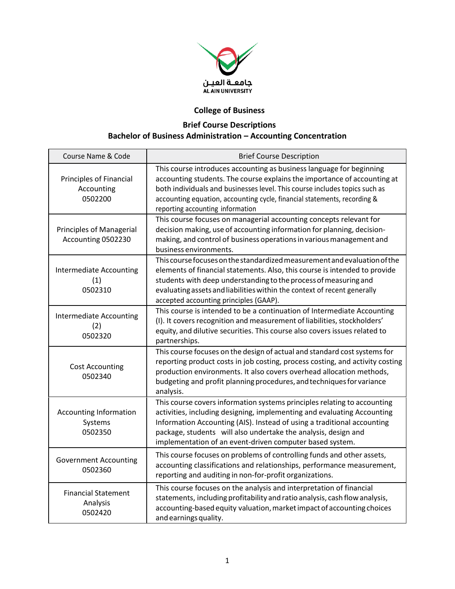

## **College of Business**

## **Brief Course Descriptions Bachelor of Business Administration – Accounting Concentration**

| Course Name & Code                                      | <b>Brief Course Description</b>                                                                                                                                                                                                                                                                                                                              |
|---------------------------------------------------------|--------------------------------------------------------------------------------------------------------------------------------------------------------------------------------------------------------------------------------------------------------------------------------------------------------------------------------------------------------------|
| <b>Principles of Financial</b><br>Accounting<br>0502200 | This course introduces accounting as business language for beginning<br>accounting students. The course explains the importance of accounting at<br>both individuals and businesses level. This course includes topics such as<br>accounting equation, accounting cycle, financial statements, recording &<br>reporting accounting information               |
| Principles of Managerial<br>Accounting 0502230          | This course focuses on managerial accounting concepts relevant for<br>decision making, use of accounting information for planning, decision-<br>making, and control of business operations in various management and<br>business environments.                                                                                                               |
| <b>Intermediate Accounting</b><br>(1)<br>0502310        | This course focuses on the standardized measurement and evaluation of the<br>elements of financial statements. Also, this course is intended to provide<br>students with deep understanding to the process of measuring and<br>evaluating assets and liabilities within the context of recent generally<br>accepted accounting principles (GAAP).            |
| <b>Intermediate Accounting</b><br>(2)<br>0502320        | This course is intended to be a continuation of Intermediate Accounting<br>(I). It covers recognition and measurement of liabilities, stockholders'<br>equity, and dilutive securities. This course also covers issues related to<br>partnerships.                                                                                                           |
| <b>Cost Accounting</b><br>0502340                       | This course focuses on the design of actual and standard cost systems for<br>reporting product costs in job costing, process costing, and activity costing<br>production environments. It also covers overhead allocation methods,<br>budgeting and profit planning procedures, and techniques for variance<br>analysis.                                     |
| <b>Accounting Information</b><br>Systems<br>0502350     | This course covers information systems principles relating to accounting<br>activities, including designing, implementing and evaluating Accounting<br>Information Accounting (AIS). Instead of using a traditional accounting<br>package, students will also undertake the analysis, design and<br>implementation of an event-driven computer based system. |
| <b>Government Accounting</b><br>0502360                 | This course focuses on problems of controlling funds and other assets,<br>accounting classifications and relationships, performance measurement,<br>reporting and auditing in non-for-profit organizations.                                                                                                                                                  |
| <b>Financial Statement</b><br>Analysis<br>0502420       | This course focuses on the analysis and interpretation of financial<br>statements, including profitability and ratio analysis, cash flow analysis,<br>accounting-based equity valuation, market impact of accounting choices<br>and earnings quality.                                                                                                        |